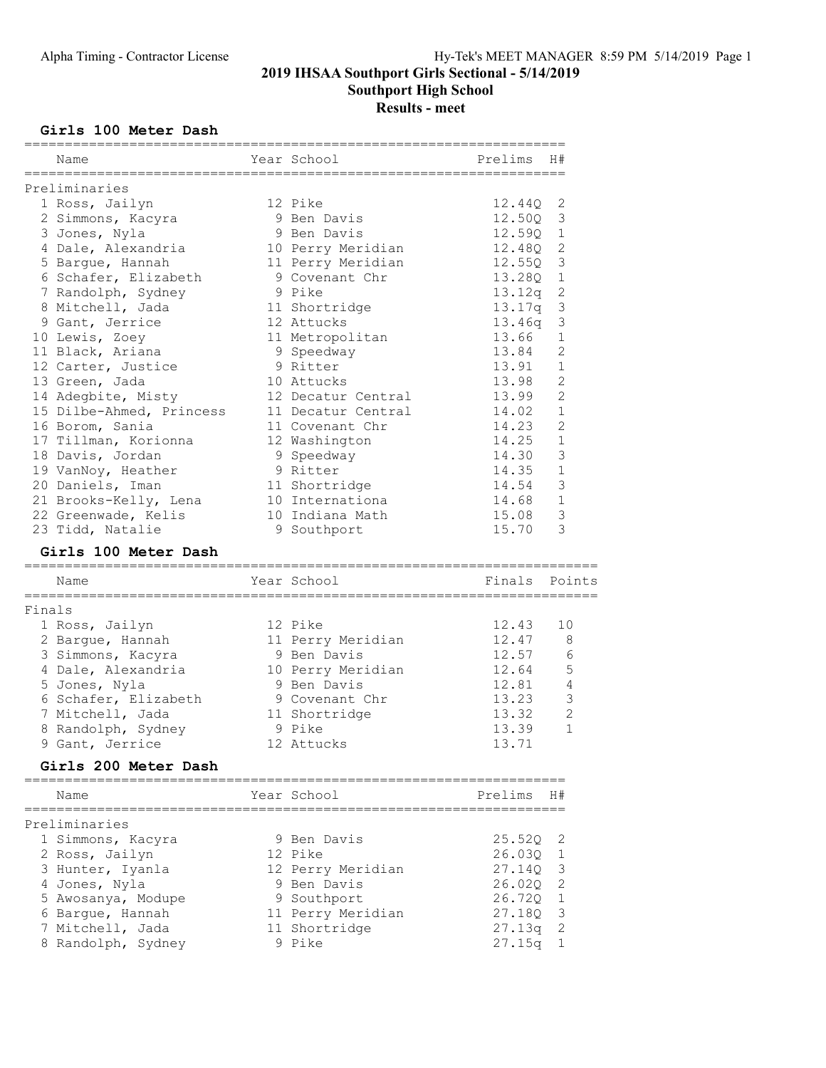## 2019 IHSAA Southport Girls Sectional - 5/14/2019 Southport High School

# Results - meet

### Girls 100 Meter Dash

|        | :===========                           | ==========================              |                  |                |
|--------|----------------------------------------|-----------------------------------------|------------------|----------------|
|        | Name                                   | Year School<br>======================== | Prelims          | H#             |
|        | Preliminaries                          |                                         |                  |                |
|        | 1 Ross, Jailyn                         | 12 Pike                                 | 12.44Q           | 2              |
|        | 2 Simmons, Kacyra                      | 9 Ben Davis                             | 12.50Q           | 3              |
|        | 3 Jones, Nyla                          | 9 Ben Davis                             | 12.59Q           | $\mathbf 1$    |
|        | 4 Dale, Alexandria                     | 10 Perry Meridian                       | 12.48Q           | 2              |
|        | 5 Bargue, Hannah                       | 11 Perry Meridian                       | 12.55Q           | 3              |
|        | 6 Schafer, Elizabeth                   | 9 Covenant Chr                          | 13.28Q           | $\mathbf 1$    |
|        | 7 Randolph, Sydney                     | 9 Pike                                  | 13.12q           | $\sqrt{2}$     |
|        | 8 Mitchell, Jada                       | 11 Shortridge                           | 13.17q           | 3              |
|        | 9 Gant, Jerrice                        | 12 Attucks                              | 13.46q           | 3              |
|        | 10 Lewis, Zoey                         | 11 Metropolitan                         | 13.66            | 1              |
|        | 11 Black, Ariana                       | 9 Speedway                              | 13.84            | $\overline{2}$ |
|        | 12 Carter, Justice                     | 9 Ritter                                | 13.91            | $\mathbf{1}$   |
|        | 13 Green, Jada                         | 10 Attucks                              | 13.98            | $\overline{c}$ |
|        | 14 Adegbite, Misty                     | 12 Decatur Central                      | 13.99            | $\overline{c}$ |
|        | 15 Dilbe-Ahmed, Princess               | 11 Decatur Central                      | 14.02            | $\mathbf{1}$   |
|        | 16 Borom, Sania                        | 11 Covenant Chr                         | 14.23            | $\overline{2}$ |
|        | 17 Tillman, Korionna                   | 12 Washington                           | 14.25            | $\mathbf{1}$   |
|        | 18 Davis, Jordan                       | 9 Speedway                              | 14.30            | 3              |
|        | 19 VanNoy, Heather                     | 9 Ritter                                | 14.35            | $1\,$          |
|        | 20 Daniels, Iman                       | 11 Shortridge                           | 14.54            | 3              |
|        | 21 Brooks-Kelly, Lena                  | 10 Internationa                         | 14.68            | $\mathbf{1}$   |
|        | 22 Greenwade, Kelis                    | 10 Indiana Math                         | 15.08            | 3              |
|        | 23 Tidd, Natalie                       | 9 Southport                             | 15.70            | 3              |
|        | Girls 100 Meter Dash                   |                                         |                  |                |
|        |                                        |                                         |                  |                |
|        | Name                                   | Year School                             | Finals           | Points         |
| Finals |                                        |                                         |                  |                |
|        | 1 Ross, Jailyn                         | 12 Pike                                 | 12.43            | 10             |
|        | 2 Bargue, Hannah                       | 11 Perry Meridian                       | 12.47            | 8              |
|        | 3 Simmons, Kacyra                      | 9 Ben Davis                             | 12.57            | 6              |
|        | 4 Dale, Alexandria                     | 10 Perry Meridian                       | 12.64            | 5              |
|        | 5 Jones, Nyla                          | 9 Ben Davis                             | 12.81            | 4              |
|        | 6 Schafer, Elizabeth                   | 9 Covenant Chr                          | 13.23            | 3              |
|        | 7 Mitchell, Jada                       | 11 Shortridge                           | 13.32            | $\mathbf{2}$   |
|        | 8 Randolph, Sydney                     | 9 Pike                                  | 13.39            | $\mathbf{1}$   |
|        | 9 Gant, Jerrice                        | 12 Attucks                              | 13.71            |                |
|        | Girls 200 Meter Dash                   |                                         |                  |                |
|        |                                        | ===================================     |                  |                |
|        | Name                                   | Year School                             | Prelims H#       |                |
|        | Preliminaries                          |                                         |                  |                |
|        | 1 Simmons, Kacyra                      | 9 Ben Davis                             | 25.52Q           | 2              |
|        |                                        | 12 Pike                                 | 26.03Q           | 1              |
|        | 2 Ross, Jailyn                         |                                         |                  | 3              |
|        | 3 Hunter, Iyanla                       | 12 Perry Meridian<br>9 Ben Davis        | 27.14Q<br>26.020 | 2              |
|        | 4 Jones, Nyla                          |                                         | 26.720           | $\mathbf 1$    |
|        | 5 Awosanya, Modupe<br>6 Bargue, Hannah | 9 Southport                             | 27.180           | 3              |
|        |                                        | 11 Perry Meridian                       |                  |                |
|        | 7 Mitchell, Jada                       | 11 Shortridge<br>9 Pike                 | 27.13q           | 2<br>1         |
|        | 8 Randolph, Sydney                     |                                         | 27.15q           |                |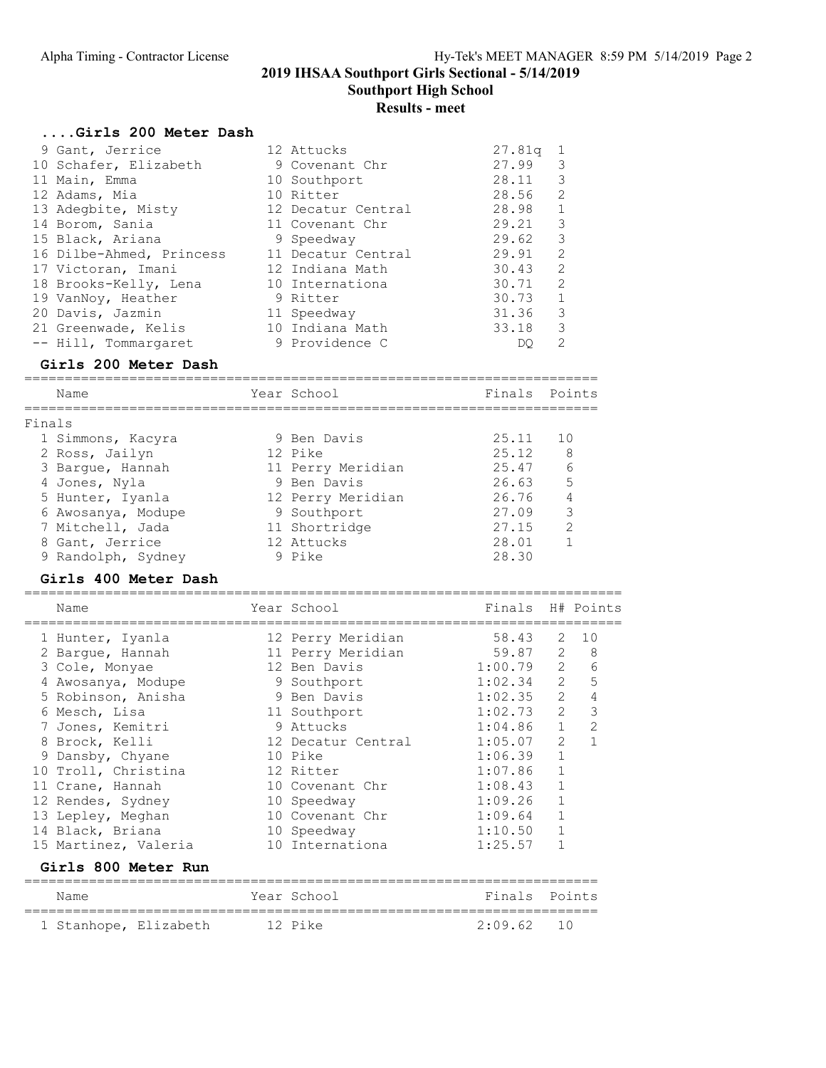2019 IHSAA Southport Girls Sectional - 5/14/2019 Southport High School

## Results - meet

#### ....Girls 200 Meter Dash

|        | 9 Gant, Jerrice                             |         | 12 Attucks                  | 27.81q | 1              |
|--------|---------------------------------------------|---------|-----------------------------|--------|----------------|
|        |                                             |         |                             | 27.99  | 3              |
|        | 10 Schafer, Elizabeth                       |         | 9 Covenant Chr              |        |                |
|        | 11 Main, Emma                               |         | 10 Southport                | 28.11  | 3              |
|        | 12 Adams, Mia                               |         | 10 Ritter                   | 28.56  | $\overline{c}$ |
|        | 13 Adegbite, Misty                          |         | 12 Decatur Central          | 28.98  | $\mathbf{1}$   |
|        | 14 Borom, Sania                             |         | 11 Covenant Chr             | 29.21  | $\mathfrak{Z}$ |
|        | 15 Black, Ariana                            |         | 9 Speedway                  | 29.62  | 3              |
|        | 16 Dilbe-Ahmed, Princess 11 Decatur Central |         |                             | 29.91  | $\overline{c}$ |
|        | 17 Victoran, Imani                          |         | 12 Indiana Math             | 30.43  | $\overline{c}$ |
|        | 18 Brooks-Kelly, Lena                       |         | 10 Internationa             | 30.71  | $\overline{c}$ |
|        | 19 VanNoy, Heather                          |         | 9 Ritter                    | 30.73  | $\mathbf 1$    |
|        | 20 Davis, Jazmin                            |         | 11 Speedway                 | 31.36  | 3              |
|        | 21 Greenwade, Kelis 10 Indiana Math         |         |                             | 33.18  | $\mathcal{S}$  |
|        | -- Hill, Tommargaret                        |         | 9 Providence C              | DO     | $\overline{2}$ |
|        |                                             |         |                             |        |                |
|        | Girls 200 Meter Dash                        |         |                             |        |                |
|        | ========================<br>Name            |         | Year School                 | Finals | Points         |
|        |                                             |         |                             |        |                |
| Finals |                                             |         |                             |        |                |
|        | 1 Simmons, Kacyra                           |         | 9 Ben Davis                 | 25.11  | 10             |
|        | 2 Ross, Jailyn                              | 12 Pike |                             | 25.12  | 8              |
|        | 3 Bargue, Hannah                            |         | 11 Perry Meridian           | 25.47  | 6              |
|        |                                             |         | 9 Ben Davis                 | 26.63  | 5              |
|        | 4 Jones, Nyla                               |         |                             | 26.76  | $\overline{4}$ |
|        | 5 Hunter, Iyanla                            |         | 12 Perry Meridian           | 27.09  | 3              |
|        | 6 Awosanya, Modupe                          |         | 9 Southport                 | 27.15  | $\overline{c}$ |
|        | 7 Mitchell, Jada<br>8 Gant, Jerrice         |         | 11 Shortridge<br>12 Attucks | 28.01  | $\mathbf{1}$   |
|        | 9 Randolph, Sydney                          |         | 9 Pike                      | 28.30  |                |

#### Girls 400 Meter Dash

## ========================================================================== Name Year School Finals H# Points ========================================================================== 1 Hunter, Iyanla 12 Perry Meridian 58.43 2 10 2 Bargue, Hannah 11 Perry Meridian 59.87 2 8

| 3 Cole, Monyae                | 12 Ben Davis       | 1:00.79       | 2<br>6                           |
|-------------------------------|--------------------|---------------|----------------------------------|
| 4 Awosanya, Modupe            | 9 Southport        | 1:02.34       | $\overline{2}$<br>5              |
| 5 Robinson, Anisha            | 9 Ben Davis        | 1:02.35       | $\overline{2}$<br>$\overline{4}$ |
| 6 Mesch, Lisa                 | 11 Southport       | 1:02.73       | 3<br>$\overline{2}$              |
| 7 Jones, Kemitri              | 9 Attucks          | 1:04.86       | $\mathbf{1}$<br>2                |
| 8 Brock, Kelli                | 12 Decatur Central | 1:05.07       | $\overline{2}$<br>$\mathbf{1}$   |
| 9 Dansby, Chyane              | 10 Pike            | 1:06.39       | $\mathbf 1$                      |
| 10 Troll, Christina           | 12 Ritter          | 1:07.86       | $\mathbf{1}$                     |
| 11 Crane, Hannah              | 10 Covenant Chr    | 1:08.43       | $\mathbf{1}$                     |
| 12 Rendes, Sydney             | 10 Speedway        | 1:09.26       | $\mathbf{1}$                     |
| 13 Lepley, Meghan             | 10 Covenant Chr    | 1:09.64       | $\mathbf{1}$                     |
| 14 Black, Briana              | 10 Speedway        | 1:10.50       | $\mathbf{1}$                     |
| 15 Martinez, Valeria          | 10 Internationa    | 1:25.57       | 1                                |
| Girls 800 Meter Run           |                    |               |                                  |
| Name                          | Year School        | Finals Points |                                  |
| 1 Stanhope, Elizabeth 12 Pike |                    | 2:09.62       | 10                               |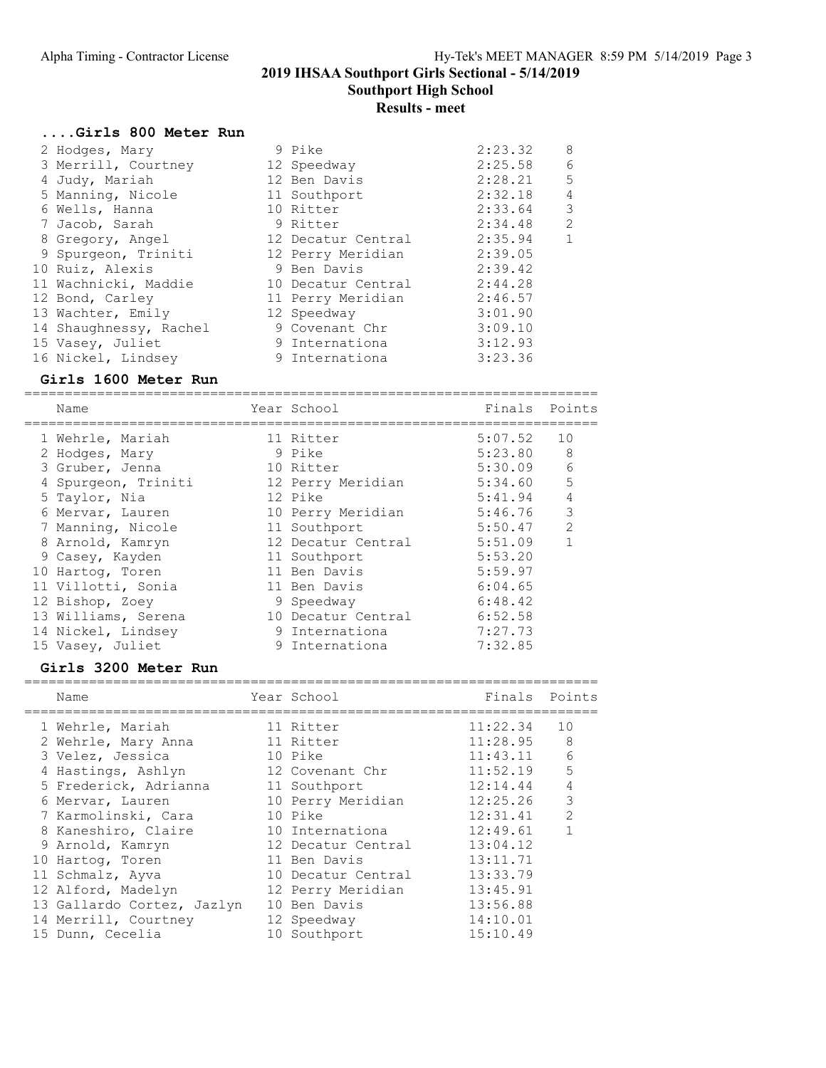Southport High School

## Results - meet

## ....Girls 800 Meter Run

|  | 2 Hodges, Mary         | 9 Pike             | 2:23.32 | 8 |
|--|------------------------|--------------------|---------|---|
|  | 3 Merrill, Courtney    | 12 Speedway        | 2:25.58 | 6 |
|  | 4 Judy, Mariah         | 12 Ben Davis       | 2:28.21 | 5 |
|  | 5 Manning, Nicole      | 11 Southport       | 2:32.18 | 4 |
|  | 6 Wells, Hanna         | 10 Ritter          | 2:33.64 | 3 |
|  | 7 Jacob, Sarah         | 9 Ritter           | 2:34.48 | 2 |
|  | 8 Gregory, Angel       | 12 Decatur Central | 2:35.94 | 1 |
|  | 9 Spurgeon, Triniti    | 12 Perry Meridian  | 2:39.05 |   |
|  | 10 Ruiz, Alexis        | 9 Ben Davis        | 2:39.42 |   |
|  | 11 Wachnicki, Maddie   | 10 Decatur Central | 2:44.28 |   |
|  | 12 Bond, Carley        | 11 Perry Meridian  | 2:46.57 |   |
|  | 13 Wachter, Emily      | 12 Speedway        | 3:01.90 |   |
|  | 14 Shaughnessy, Rachel | 9 Covenant Chr     | 3:09.10 |   |
|  | 15 Vasey, Juliet       | 9 Internationa     | 3:12.93 |   |
|  | 16 Nickel, Lindsey     | 9 Internationa     | 3:23.36 |   |
|  |                        |                    |         |   |

#### Girls 1600 Meter Run

=======================================================================

| Name                | Year School        | Finals  | Points         |
|---------------------|--------------------|---------|----------------|
| 1 Wehrle, Mariah    | 11 Ritter          | 5:07.52 | 10             |
| 2 Hodges, Mary      | 9 Pike             | 5:23.80 | 8              |
| 3 Gruber, Jenna     | 10 Ritter          | 5:30.09 | 6              |
| 4 Spurgeon, Triniti | 12 Perry Meridian  | 5:34.60 | 5              |
| 5 Taylor, Nia       | 12 Pike            | 5:41.94 | $\overline{4}$ |
| 6 Mervar, Lauren    | 10 Perry Meridian  | 5:46.76 | 3              |
| 7 Manning, Nicole   | 11 Southport       | 5:50.47 | $\overline{2}$ |
| 8 Arnold, Kamryn    | 12 Decatur Central | 5:51.09 | $\mathbf{1}$   |
| 9 Casey, Kayden     | 11 Southport       | 5:53.20 |                |
| 10 Hartog, Toren    | 11 Ben Davis       | 5:59.97 |                |
| 11 Villotti, Sonia  | 11 Ben Davis       | 6:04.65 |                |
| 12 Bishop, Zoey     | 9 Speedway         | 6:48.42 |                |
| 13 Williams, Serena | 10 Decatur Central | 6:52.58 |                |
| 14 Nickel, Lindsey  | 9 Internationa     | 7:27.73 |                |
| 15 Vasey, Juliet    | 9 Internationa     | 7:32.85 |                |

### Girls 3200 Meter Run

| Name                       | Year School        | Finals   | Points |
|----------------------------|--------------------|----------|--------|
| 1 Wehrle, Mariah           | 11 Ritter          | 11:22.34 | 10     |
| 2 Wehrle, Mary Anna        | 11 Ritter          | 11:28.95 | 8      |
| 3 Velez, Jessica           | 10 Pike            | 11:43.11 | 6      |
| 4 Hastings, Ashlyn         | 12 Covenant Chr    | 11:52.19 | 5      |
| 5 Frederick, Adrianna      | 11 Southport       | 12:14.44 | 4      |
| 6 Mervar, Lauren           | 10 Perry Meridian  | 12:25.26 | 3      |
| 7 Karmolinski, Cara        | 10 Pike            | 12:31.41 | 2      |
| 8 Kaneshiro, Claire        | 10 Internationa    | 12:49.61 |        |
| 9 Arnold, Kamryn           | 12 Decatur Central | 13:04.12 |        |
| 10 Hartog, Toren           | 11 Ben Davis       | 13:11.71 |        |
| 11 Schmalz, Ayva           | 10 Decatur Central | 13:33.79 |        |
| 12 Alford, Madelyn         | 12 Perry Meridian  | 13:45.91 |        |
| 13 Gallardo Cortez, Jazlyn | 10 Ben Davis       | 13:56.88 |        |
| 14 Merrill, Courtney       | 12 Speedway        | 14:10.01 |        |
| 15 Dunn, Cecelia           | 10 Southport       | 15:10.49 |        |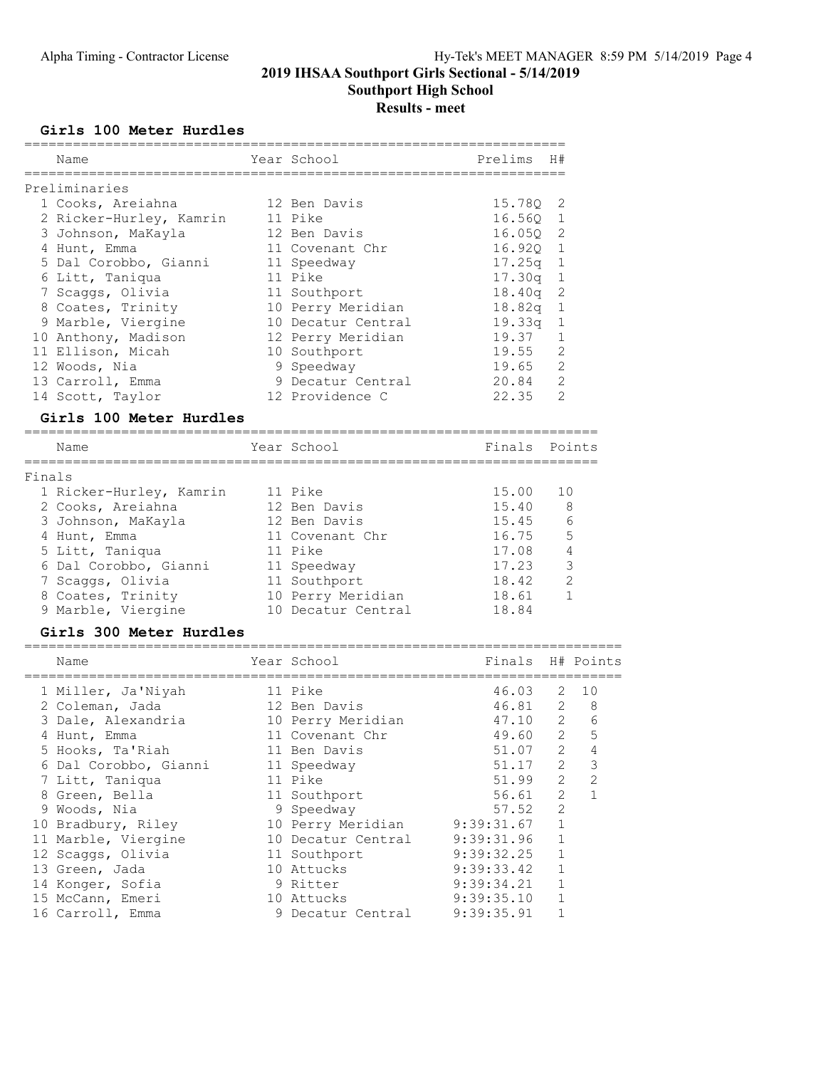Southport High School

# Results - meet

### Girls 100 Meter Hurdles

|        | Name                    | Year School        | Prelims               | H#                         |                |
|--------|-------------------------|--------------------|-----------------------|----------------------------|----------------|
|        |                         |                    | ===================== |                            |                |
|        | Preliminaries           |                    |                       |                            |                |
|        | 1 Cooks, Areiahna       | 12 Ben Davis       | 15.78Q                | 2                          |                |
|        | 2 Ricker-Hurley, Kamrin | 11 Pike            | 16.56Q                | $\overline{1}$             |                |
|        | 3 Johnson, MaKayla      | 12 Ben Davis       | 16.05Q                | $\overline{\phantom{0}}^2$ |                |
|        | 4 Hunt, Emma            | 11 Covenant Chr    | $16.92Q$ 1            |                            |                |
|        | 5 Dal Corobbo, Gianni   | 11 Speedway        | $17.25q$ 1            |                            |                |
|        | 6 Litt, Taniqua         | 11 Pike            | 17.30q                | $\mathbf 1$                |                |
|        | 7 Scaggs, Olivia        | 11 Southport       | 18.40q                | 2                          |                |
|        | 8 Coates, Trinity       | 10 Perry Meridian  | 18.82q                | 1                          |                |
|        | 9 Marble, Viergine      | 10 Decatur Central | 19.33q                | 1                          |                |
|        | 10 Anthony, Madison     | 12 Perry Meridian  | 19.37                 | 1                          |                |
|        | 11 Ellison, Micah       | 10 Southport       | 19.55                 | 2                          |                |
|        | 12 Woods, Nia           | 9 Speedway         | 19.65                 | 2                          |                |
|        | 13 Carroll, Emma        | 9 Decatur Central  | 20.84                 | 2                          |                |
|        | 14 Scott, Taylor        | 12 Providence C    | 22.35                 | 2                          |                |
|        | Girls 100 Meter Hurdles |                    | -------------------   |                            |                |
|        | Name                    | Year School        | Finals                |                            | Points         |
| Finals |                         |                    |                       |                            |                |
|        | 1 Ricker-Hurley, Kamrin | 11 Pike            | 15.00                 | 10                         |                |
|        | 2 Cooks, Areiahna       | 12 Ben Davis       | 15.40                 | 8                          |                |
|        | 3 Johnson, MaKayla      | 12 Ben Davis       | 15.45                 |                            | 6              |
|        | 4 Hunt, Emma            | 11 Covenant Chr    | 16.75                 |                            | 5              |
|        | 5 Litt, Taniqua         | 11 Pike            | 17.08                 |                            | 4              |
|        | 6 Dal Corobbo, Gianni   | 11 Speedway        | 17.23                 |                            | 3              |
|        | 7 Scaggs, Olivia        | 11 Southport       | 18.42                 |                            | $\mathbf{2}$   |
|        | 8 Coates, Trinity       | 10 Perry Meridian  | 18.61                 |                            | 1              |
|        | 9 Marble, Viergine      | 10 Decatur Central | 18.84                 |                            |                |
|        | Girls 300 Meter Hurdles |                    |                       |                            |                |
|        |                         |                    |                       |                            |                |
|        | Name                    | Year School        | Finals                |                            | H# Points      |
|        | 1 Miller, Ja'Niyah      | 11 Pike            | 46.03                 | 2                          | 10             |
|        | 2 Coleman, Jada         | 12 Ben Davis       | 46.81                 | 2                          | - 8            |
|        | 3 Dale, Alexandria      | 10 Perry Meridian  | 47.10                 |                            | $2 \quad$<br>6 |
|        | 4 Hunt, Emma            | 11 Covenant Chr    | 49.60                 | $\overline{2}$             | 5              |
|        | 5 Hooks, Ta'Riah        | 11 Ben Davis       | 51.07                 | 2                          | 4              |
|        | 6 Dal Corobbo, Gianni   | 11 Speedway        | 51.17                 | $\overline{2}$             | 3              |
|        | 7 Litt, Taniqua         | 11 Pike            | 51.99                 | $\mathbf{2}^{\prime}$      | 2              |
|        | 8 Green, Bella          | 11 Southport       | 56.61                 | 2                          | $\mathbf{1}$   |
|        | 9 Woods, Nia            | 9 Speedway         | 57.52                 | $\overline{2}$             |                |
|        | 10 Bradbury, Riley      | 10 Perry Meridian  | 9:39:31.67            | $\mathbf 1$                |                |
|        | 11 Marble, Viergine     | 10 Decatur Central | 9:39:31.96            | $\mathbf{1}$               |                |
|        | 12 Scaggs, Olivia       | 11 Southport       | 9:39:32.25            | $\mathbf 1$                |                |
|        | 13 Green, Jada          | 10 Attucks         | 9:39:33.42            | 1                          |                |
|        | 14 Konger, Sofia        | 9 Ritter           | 9:39:34.21            | 1                          |                |
|        | 15 McCann, Emeri        | 10 Attucks         | 9:39:35.10            | $\mathbf 1$                |                |
|        | 16 Carroll, Emma        | 9 Decatur Central  | 9:39:35.91            | $\mathbf 1$                |                |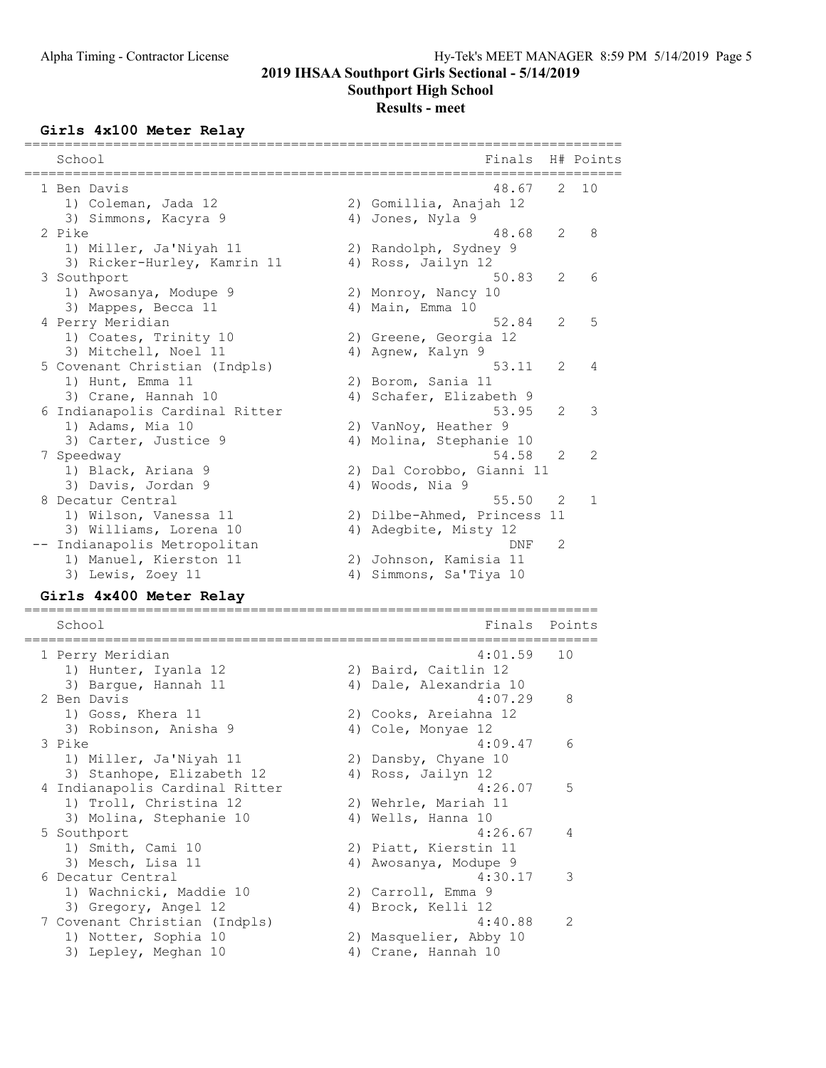Southport High School

## Results - meet

### Girls 4x100 Meter Relay

| School<br>______                                      | Finals                                      |    | H# Points    |
|-------------------------------------------------------|---------------------------------------------|----|--------------|
| 1 Ben Davis<br>1) Coleman, Jada 12                    | 48.67<br>2) Gomillia, Anajah 12             | 2  | 10           |
| 3) Simmons, Kacyra 9                                  | 4) Jones, Nyla 9                            |    |              |
| 2 Pike                                                | 48.68                                       | 2  | 8            |
| 1) Miller, Ja'Niyah 11<br>3) Ricker-Hurley, Kamrin 11 | 2) Randolph, Sydney 9<br>4) Ross, Jailyn 12 |    |              |
| 3 Southport                                           | 50.83                                       | 2  | 6            |
| 1) Awosanya, Modupe 9                                 | 2) Monroy, Nancy 10                         |    |              |
| 3) Mappes, Becca 11                                   | 4) Main, Emma 10                            |    |              |
| 4 Perry Meridian                                      | 52.84                                       | 2  | 5            |
| 1) Coates, Trinity 10                                 | 2) Greene, Georgia 12                       |    |              |
| 3) Mitchell, Noel 11                                  | 4) Agnew, Kalyn 9                           |    |              |
| 5 Covenant Christian (Indpls)                         | 53.11                                       | 2  | 4            |
| 1) Hunt, Emma 11                                      | 2) Borom, Sania 11                          |    |              |
| 3) Crane, Hannah 10                                   | 4) Schafer, Elizabeth 9<br>53.95            | 2  | 3            |
| 6 Indianapolis Cardinal Ritter<br>1) Adams, Mia 10    | 2) VanNoy, Heather 9                        |    |              |
| 3) Carter, Justice 9                                  | 4) Molina, Stephanie 10                     |    |              |
| 7 Speedway                                            | 54.58                                       | 2  | 2            |
| 1) Black, Ariana 9                                    | 2) Dal Corobbo, Gianni 11                   |    |              |
| 3) Davis, Jordan 9                                    | 4) Woods, Nia 9                             |    |              |
| 8 Decatur Central                                     | 55.50                                       | 2  | $\mathbf{1}$ |
| 1) Wilson, Vanessa 11                                 | 2) Dilbe-Ahmed, Princess 11                 |    |              |
| 3) Williams, Lorena 10                                | 4) Adegbite, Misty 12                       |    |              |
| -- Indianapolis Metropolitan                          | DNF                                         | 2  |              |
| 1) Manuel, Kierston 11                                | 2) Johnson, Kamisia 11                      |    |              |
| 3) Lewis, Zoey 11                                     | 4) Simmons, Sa'Tiya 10                      |    |              |
| Girls 4x400 Meter Relay                               | ==========                                  |    |              |
| School<br>======================                      | Finals                                      |    | Points       |
| 1 Perry Meridian                                      | 4:01.59                                     | 10 |              |
| 1) Hunter, Iyanla 12                                  | 2) Baird, Caitlin 12                        |    |              |
| 3) Barque, Hannah 11                                  | 4) Dale, Alexandria 10                      |    |              |
| 2 Ben Davis                                           | 4:07.29                                     |    | 8            |
| 1) Goss, Khera 11                                     | 2) Cooks, Areiahna 12                       |    |              |
| 3) Robinson, Anisha 9                                 | 4) Cole, Monyae 12                          |    |              |
| 3 Pike                                                | 4:09.47                                     |    | 6            |
| 1) Miller, Ja'Niyah 11                                | 2) Dansby, Chyane 10                        |    |              |
| 3) Stanhope, Elizabeth 12                             | 4) Ross, Jailyn 12                          |    |              |
| 4 Indianapolis Cardinal Ritter                        | 4:26.07                                     |    | 5            |
| 1) Troll, Christina 12                                | 2) Wehrle, Mariah 11                        |    |              |
| 3) Molina, Stephanie 10<br>5 Southport                | 4) Wells, Hanna 10<br>4:26.67               |    | 4            |

 1) Smith, Cami 10 2) Piatt, Kierstin 11 3) Mesch, Lisa 11 4) Awosanya, Modupe 9

 1) Notter, Sophia 10 2) Masquelier, Abby 10 3) Lepley, Meghan 10 4) Crane, Hannah 10

1) Wachnicki, Maddie 10 2) Carroll, Emma 9 3) Gregory, Angel 12 4) Brock, Kelli 12

6 Decatur Central 4:30.17 3

7 Covenant Christian (Indpls) 4:40.88 2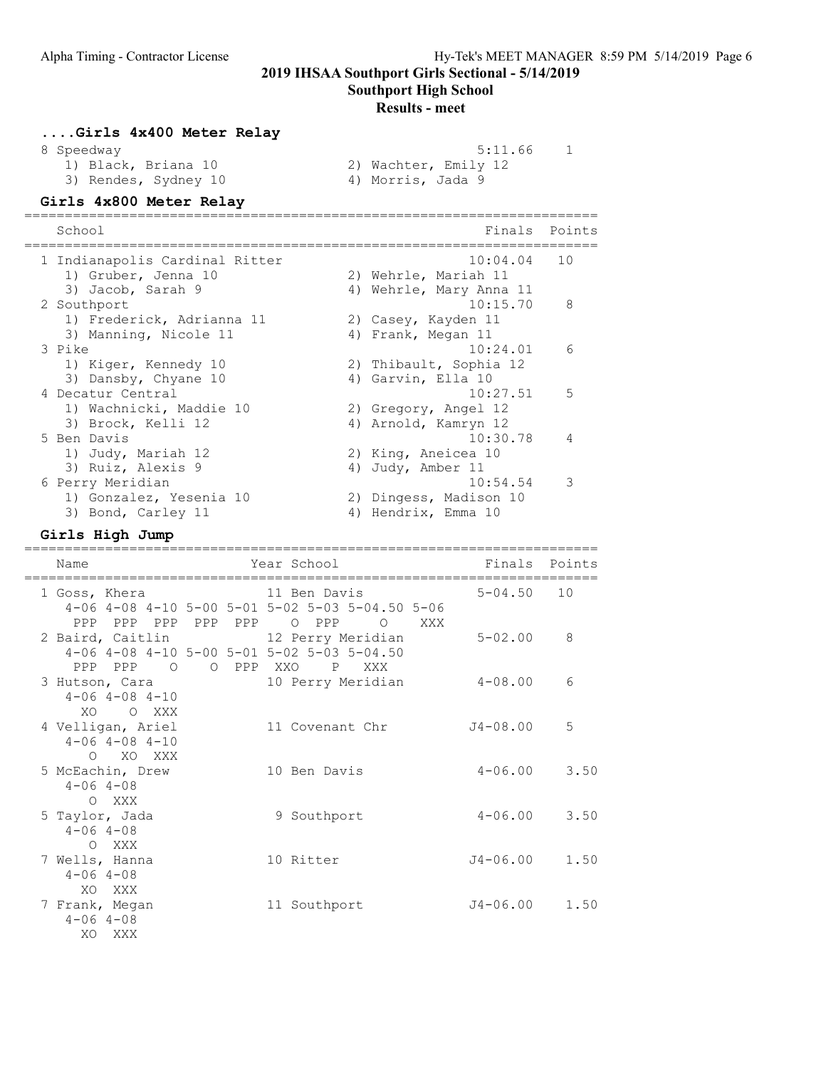Southport High School

#### Results - meet

| Girls 4x400 Meter Relay |                      |
|-------------------------|----------------------|
| 8 Speedway              | 5:11.66              |
| 1) Black, Briana 10     | 2) Wachter, Emily 12 |
| 3) Rendes, Sydney 10    | 4) Morris, Jada 9    |

#### Girls 4x800 Meter Relay

======================================================================= School **Finals** Points ======================================================================= 1 Indianapolis Cardinal Ritter 1) Gruber, Jenna 10 2) Wehrle, Mariah 11 3) Jacob, Sarah 9 4) Wehrle, Mary Anna 11 2 Southport 10:15.70 8 1) Frederick, Adrianna 11 12) Casey, Kayden 11 3) Manning, Nicole 11 (4) Frank, Megan 11 3 Pike 10:24.01 6 1) Kiger, Kennedy 10 2) Thibault, Sophia 12 3) Dansby, Chyane 10 4) Garvin, Ella 10 4 Decatur Central 10:27.51 5 1) Wachnicki, Maddie 10 2) Gregory, Angel 12 3) Brock, Kelli 12 4) Arnold, Kamryn 12 5 Ben Davis 10:30.78 4 1) Judy, Mariah 12 2) King, Aneicea 10 3) Ruiz, Alexis 9 4) Judy, Amber 11 6 Perry Meridian 10:54.54 3 1) Gonzalez, Yesenia 10 2) Dingess, Madison 10 3) Bond, Carley 11 4) Hendrix, Emma 10

#### Girls High Jump

======================================================================= Name **The Year School** Finals Points ======================================================================= 1 Goss, Khera 4-06 4-08 4-10 5-00 5-01 5-02 5-03 5-04.50 5-06 PPP PPP PPP PPP PPP O PPP O XXX 2 Baird, Caitlin 12 Perry Meridian 5-02.00 8 4-06 4-08 4-10 5-00 5-01 5-02 5-03 5-04.50 PPP PPP O O PPP XXO P XXX 3 Hutson, Cara 10 Perry Meridian 4-08.00 6 4-06 4-08 4-10 XO O XXX<br>4 Velligan, Ariel 4 Velligan, Ariel 11 Covenant Chr J4-08.00 5 4-06 4-08 4-10 O XO XXX 5 McEachin, Drew 10 Ben Davis 4-06.00 3.50  $4-06$   $4-08$ O XXX<br>5 Taylor, Jada 9 Southport 4-06.00 3.50 4-06 4-08 O XXX<br>7 Wells, Hanna 10 Ritter  $J4-06.00$  1.50  $4-06$   $4-08$ XO XXX<br>7 Frank, Megan 11 Southport  $J4-06.00$  1.50  $4-06$   $4-08$ XO XXX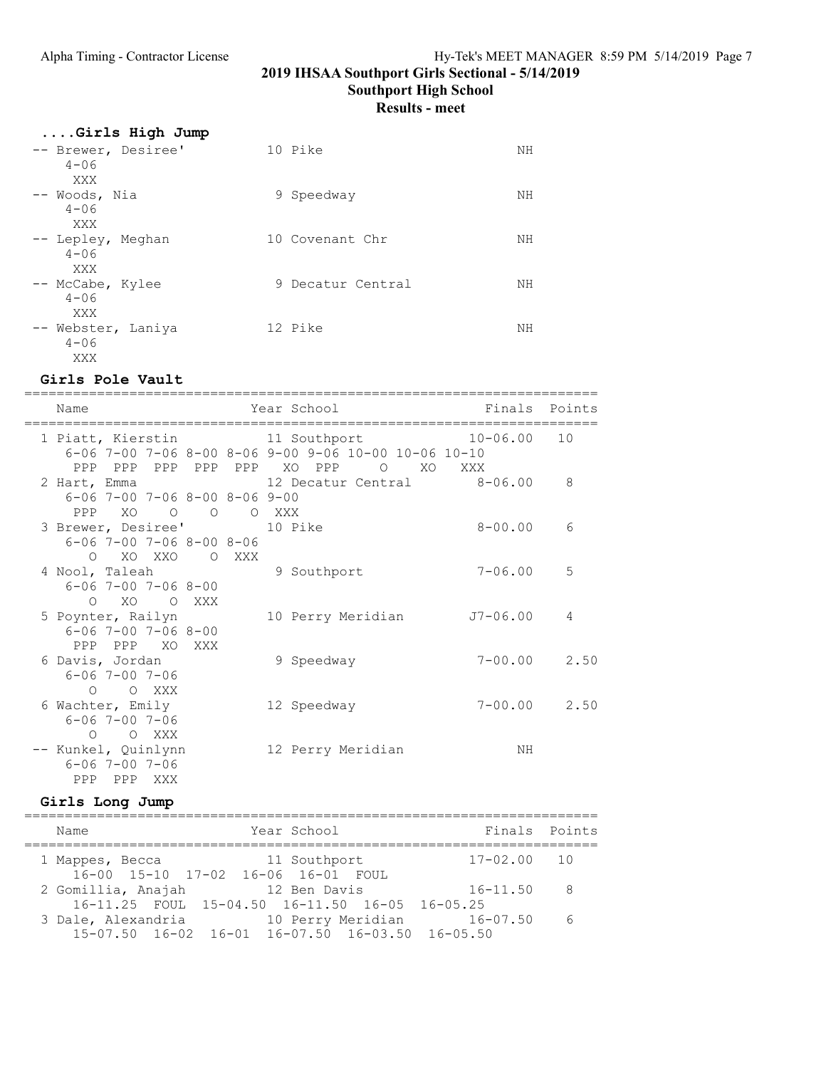Southport High School

Results - meet

| Girls High Jump<br>-- Brewer, Desiree'<br>$4 - 06$ | 10 Pike           | NΗ |
|----------------------------------------------------|-------------------|----|
| XXX<br>-- Woods, Nia<br>$4 - 06$                   | 9 Speedway        | NΗ |
| XXX<br>-- Lepley, Meghan<br>$4 - 06$               | 10 Covenant Chr   | NΗ |
| XXX<br>-- McCabe, Kylee<br>$4 - 06$                | 9 Decatur Central | NΗ |
| XXX<br>-- Webster, Laniya<br>$4 - 06$<br>XXX       | 12 Pike           | NΗ |

#### Girls Pole Vault

======================================================================= Name Year School Finals Points ======================================================================= 1 Piatt, Kierstin 11 Southport 10-06.00 10 6-06 7-00 7-06 8-00 8-06 9-00 9-06 10-00 10-06 10-10 PPP PPP PPP PPP PPP XO PPP 0 XO XXX<br>2 Hart, Emma 12 Decatur Central 8-06.00 8 12 Decatur Central 6-06 7-00 7-06 8-00 8-06 9-00 PPP XO O O O XXX 3 Brewer, Desiree' 10 Pike 8-00.00 6 6-06 7-00 7-06 8-00 8-06 O XO XXO O XXX<br>4 Nool, Taleah 4 9 Southport 7-06.00 5 6-06 7-00 7-06 8-00 O XO O XXX<br>5 Poynter, Railyn 5 Poynter, Railyn 10 Perry Meridian J7-06.00 4 6-06 7-00 7-06 8-00 PPP PPP XO XXX 6 Davis, Jordan 9 Speedway 7-00.00 2.50 6-06 7-00 7-06 O O XXX<br>6 Wachter, Emily 12 Speedway 7-00.00 2.50 6-06 7-00 7-06 O O XXX -- Kunkel, Quinlynn 12 Perry Meridian NH 6-06 7-00 7-06 PPP PPP XXX

#### Girls Long Jump

======================================================================= Name Year School Finals Points ======================================================================= 1 Mappes, Becca 11 Southport 16-00 15-10 17-02 16-06 16-01 FOUL 2 Gomillia, Anajah 12 Ben Davis 16-11.50 8 16-11.25 FOUL 15-04.50 16-11.50 16-05 16-05.25 3 Dale, Alexandria 10 Perry Meridian 16-07.50 6 15-07.50 16-02 16-01 16-07.50 16-03.50 16-05.50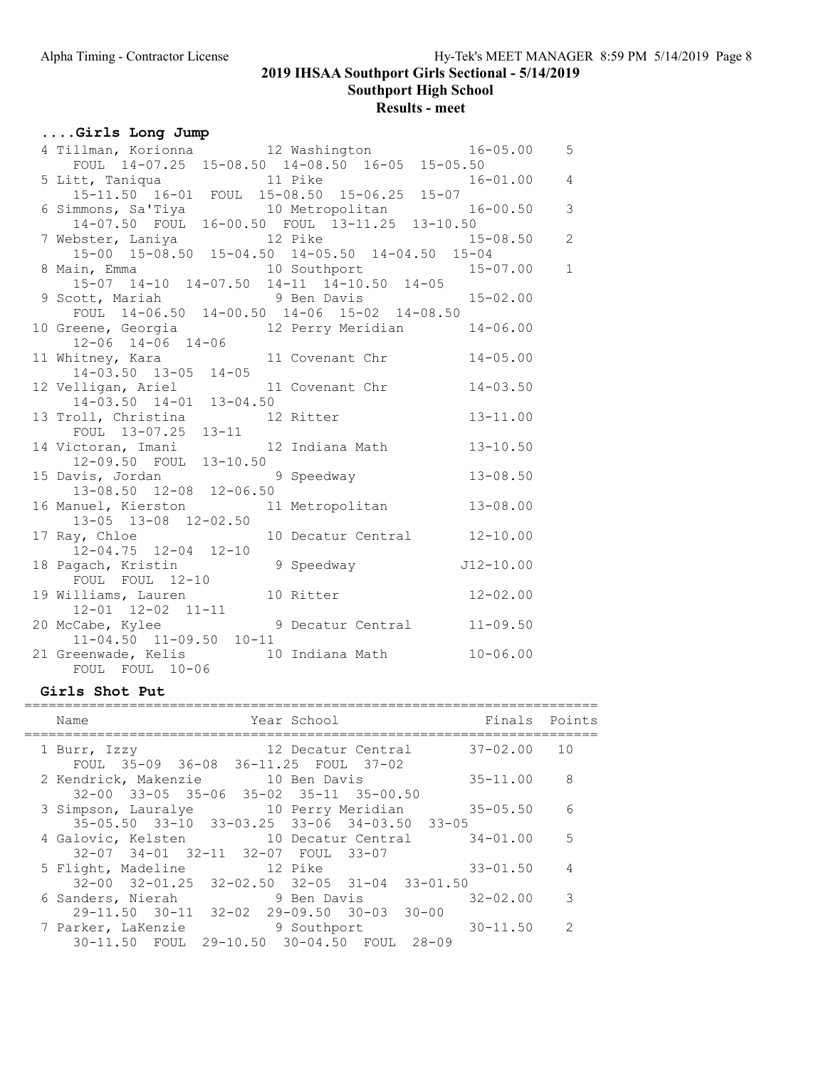Southport High School

# Results - meet

## ....Girls Long Jump

| 4 Tillman, Korionna 12 Washington 16-05.00<br>FOUL 14-07.25 15-08.50 14-08.50 16-05 15-05.50 |                             |              | $5\overline{)}$ |
|----------------------------------------------------------------------------------------------|-----------------------------|--------------|-----------------|
|                                                                                              |                             |              |                 |
| 5 Litt, Taniqua 11 Pike 16-01.00 4<br>15-11.50 16-01 FOUL 15-08.50 15-06.25 15-07            |                             |              |                 |
|                                                                                              |                             |              |                 |
| 6 Simmons, Sa'Tiya (10 Metropolitan 16-00.50 3                                               |                             |              |                 |
| 14-07.50 FOUL 16-00.50 FOUL 13-11.25 13-10.50                                                |                             |              |                 |
| 7 Webster, Laniya 12 Pike 15-08.50 2<br>15-00 15-08.50 15-04.50 14-05.50 14-04.50 15-04      |                             |              |                 |
|                                                                                              |                             |              |                 |
| 8 Main, Emma<br>15-07 14-10 14-07.50 14-11 14-10.50 14-05<br>14-05                           |                             |              |                 |
|                                                                                              |                             |              |                 |
|                                                                                              |                             |              |                 |
| 9 Scott, Mariah 9 Ben Davis<br>FOUL 14-06.50 14-00.50 14-06 15-02 14-08.50                   |                             |              |                 |
| 10 Greene, Georgia 12 Perry Meridian 14-06.00<br>12-06 14-06 14-06                           |                             |              |                 |
|                                                                                              |                             |              |                 |
| 11 Whitney, Kara 11 Covenant Chr 14-03.50 13-05 14-05                                        |                             | $14 - 05.00$ |                 |
|                                                                                              |                             |              |                 |
|                                                                                              |                             | $14 - 03.50$ |                 |
| 12 Velligan, Ariel 11 Covenant Chr<br>14-03.50 14-01 13-04.50                                |                             |              |                 |
| 13 Troll, Christina 12 Ritter                                                                |                             | $13 - 11.00$ |                 |
| FOUL 13-07.25 13-11                                                                          |                             |              |                 |
| 14 Victoran, Imani 12 Indiana Math 13-10.50                                                  |                             |              |                 |
| 12-09.50 FOUL 13-10.50                                                                       |                             |              |                 |
| 15 Davis, Jordan 9 Speedway 13-08.50                                                         |                             |              |                 |
| 13-08.50 12-08 12-06.50                                                                      |                             |              |                 |
| 16 Manuel, Kierston 11 Metropolitan                                                          |                             | $13 - 08.00$ |                 |
| 13-05 13-08 12-02.50                                                                         |                             |              |                 |
| 17 Ray, Chloe                                                                                | 10 Decatur Central 12-10.00 |              |                 |
| ay, Chice<br>12-04.75 12-04 12-10<br>12-10.00 9 Speedway J12-10.00                           |                             |              |                 |
| 18 Pagach, Kristin                                                                           |                             |              |                 |
|                                                                                              |                             |              |                 |
| 19 Williams, Lauren 10 Ritter 12-02.00                                                       |                             |              |                 |
| 12-01 12-02 11-11                                                                            |                             |              |                 |
|                                                                                              |                             |              |                 |
| 20 McCabe, Kylee 9 Decatur Central 11-09.50<br>11-04.50 11-09.50 10-11                       |                             |              |                 |
|                                                                                              |                             | $10 - 06.00$ |                 |
| 21 Greenwade, Kelis 10 Indiana Math<br>FOUL FOUL 10-06                                       |                             |              |                 |
|                                                                                              |                             |              |                 |

### Girls Shot Put

| Year School<br>Name                                                                                        | Finals Points |                |
|------------------------------------------------------------------------------------------------------------|---------------|----------------|
| 12 Decatur Central 37-02.00 10<br>1 Burr, Izzy<br>FOUL 35-09 36-08 36-11.25 FOUL 37-02                     |               |                |
| 2 Kendrick, Makenzie 10 Ben Davis<br>$32-00$ $33-05$ $35-06$ $35-02$ $35-11$ $35-00.50$                    | $35 - 11.00$  | -8             |
| 3 Simpson, Lauralye 10 Perry Meridian 35-05.50<br>$35-05.50$ $33-10$ $33-03.25$ $33-06$ $34-03.50$ $33-05$ |               | 6              |
| 4 Galovic, Kelsten 10 Decatur Central 34-01.00<br>32-07 34-01 32-11 32-07 FOUL 33-07                       |               | $5^{\circ}$    |
| 5 Flight, Madeline 12 Pike<br>$32-00$ $32-01.25$ $32-02.50$ $32-05$ $31-04$ $33-01.50$                     | $33 - 01.50$  | $\overline{4}$ |
| 6 Sanders, Nierah<br>9 Ben Davis<br>$29-11.50$ $30-11$ $32-02$ $29-09.50$ $30-03$ $30-00$                  | $32 - 02.00$  | 3              |
| 7 Parker, LaKenzie<br>9 Southport<br>30-11.50 FOUL 29-10.50 30-04.50 FOUL 28-09                            | $30 - 11.50$  | - 2            |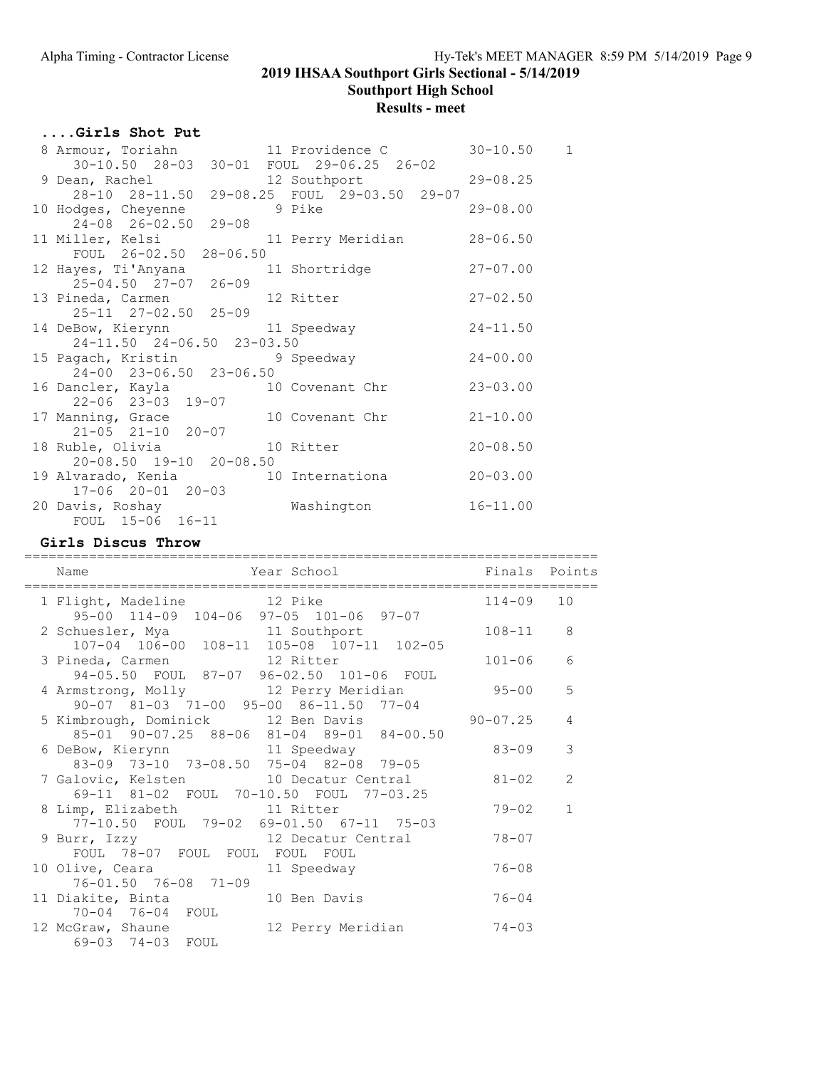Southport High School

# Results - meet

## ....Girls Shot Put

| 8 Armour, Toriahn 11 Providence C<br>30-10.50 28-03 30-01 FOUL 29-06.25 26-02       |                   | $30 - 10.50$ 1 |
|-------------------------------------------------------------------------------------|-------------------|----------------|
| 9 Dean, Rachel                                                                      | 12 Southport      | $29 - 08.25$   |
| 28-10 28-11.50 29-08.25 FOUL 29-03.50 29-07<br>10 Hodges, Cheyenne                  | 9 Pike            | $29 - 08.00$   |
| $24-08$ $26-02.50$ $29-08$<br>11 Miller, Kelsi                                      | 11 Perry Meridian | $28 - 06.50$   |
| FOUL 26-02.50 28-06.50                                                              |                   |                |
| 25-04.50 27-07 26-09                                                                |                   | $27 - 07.00$   |
| 13 Pineda, Carmen 12 Ritter                                                         |                   | $27 - 02.50$   |
| 25-11 27-02.50 25-09<br>14 DeBow, Kierynn 11 Speedway<br>24-11.50 24-06.50 23-03.50 |                   | $24 - 11.50$   |
| 15 Pagach, Kristin 9 Speedway<br>24-00 23-06.50 23-06.50                            |                   | $24 - 00.00$   |
| 16 Dancler, Kayla 10 Covenant Chr<br>$22 - 06$ $23 - 03$ $19 - 07$                  |                   | $23 - 03.00$   |
| 17 Manning, Grace 510 Covenant Chr<br>$21-05$ $21-10$ $20-07$                       |                   | $21 - 10.00$   |
| 18 Ruble, Olivia 10 Ritter<br>$20 - 08.50$ 19-10 20-08.50                           |                   | $20 - 08.50$   |
| 19 Alvarado, Kenia 10 Internationa                                                  |                   | $20 - 03.00$   |
| $17 - 06$ $20 - 01$ $20 - 03$<br>20 Davis, Roshay<br>FOUL 15-06 16-11               | Washington        | $16 - 11.00$   |

## Girls Discus Throw

| Year School<br>Name                                                                      | Finals Points |                |
|------------------------------------------------------------------------------------------|---------------|----------------|
| 1 Flight, Madeline 12 Pike<br>95-00 114-09 104-06 97-05 101-06 97-07                     | 114-09 10     |                |
| 2 Schuesler, Mya and 11 Southport<br>107-04 106-00 108-11 105-08 107-11 102-05           | $108 - 11$    | 8              |
| 3 Pineda, Carmen 12 Ritter<br>94-05.50 FOUL 87-07 96-02.50 101-06 FOUL                   | $101 - 06$    | 6              |
| 4 Armstrong, Molly 12 Perry Meridian<br>90-07 81-03 71-00 95-00 86-11.50 77-04           | $95 - 00$     | 5              |
| 5 Kimbrough, Dominick 12 Ben Davis 90-07.25<br>85-01 90-07.25 88-06 81-04 89-01 84-00.50 |               | 4              |
| 6 DeBow, Kierynn a 11 Speedway<br>83-09 73-10 73-08.50 75-04 82-08 79-05                 | 83-09         | 3              |
| 7 Galovic, Kelsten 10 Decatur Central<br>69-11 81-02 FOUL 70-10.50 FOUL 77-03.25         | $81 - 02$     | 2              |
| 8 Limp, Elizabeth 11 Ritter<br>77-10.50 FOUL 79-02 69-01.50 67-11 75-03                  | $79 - 02$     | $\overline{1}$ |
| 9 Burr, Izzy 12 Decatur Central<br>FOUL 78-07 FOUL FOUL FOUL FOUL                        | $78 - 07$     |                |
| 10 Olive, Ceara and 11 Speedway<br>76-01.50 76-08 71-09                                  | $76 - 08$     |                |
| 11 Diakite, Binta 10 Ben Davis<br>70-04 76-04 FOUL                                       | $76 - 04$     |                |
| 12 McGraw, Shaune<br>12 Perry Meridian 74-03<br>69-03 74-03 FOUL                         |               |                |